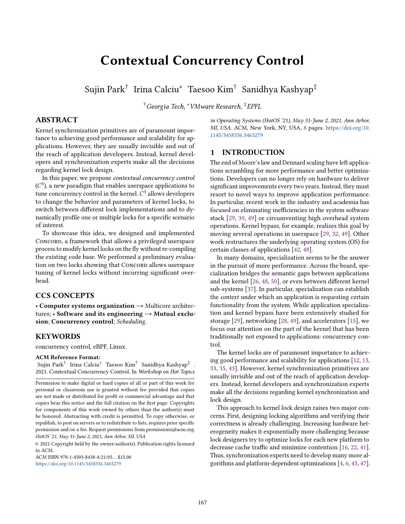# <span id="page-0-0"></span>Contextual Concurrency Control

Sujin Park† Irina Calciu\* Taesoo Kim<sup>†</sup> Sanidhya Kashyap‡

†Georgia Tech, <sup>∗</sup>VMware Research, ‡EPFL

# ABSTRACT

Kernel synchronization primitives are of paramount importance to achieving good performance and scalability for applications. However, they are usually invisible and out of the reach of application developers. Instead, kernel developers and synchronization experts make all the decisions regarding kernel lock design.

In this paper, we propose contextual concurrency control  $(C<sup>3</sup>)$ , a new paradigm that enables userspace applications to tune concurrency control in the kernel.  $C^3$  allows developers to change the behavior and parameters of kernel locks, to switch between different lock implementations and to dynamically profile one or multiple locks for a specific scenario of interest.

To showcase this idea, we designed and implemented CONCORD, a framework that allows a privileged userspace process to modify kernel locks on the fly without re-compiling the existing code base. We performed a preliminary evaluation on two locks showing that Concorp allows userspace tuning of kernel locks without incurring significant overhead.

## CCS CONCEPTS

• Computer systems organization → Multicore architectures; • Software and its engineering  $\rightarrow$  Mutual exclusion; Concurrency control; Scheduling.

#### KEYWORDS

concurrency control, eBPF, Linux.

#### ACM Reference Format:

Sujin Park† Irina Calciu<sup>∗</sup> Taesoo Kim† Sanidhya Kashyap‡ . 2021. Contextual Concurrency Control. In Workshop on Hot Topics

© 2021 Copyright held by the owner/author(s). Publication rights licensed to ACM.

ACM ISBN 978-1-4503-8438-4/21/05. . . \$15.00 <https://doi.org/10.1145/3458336.3465279>

in Operating Systems (HotOS '21), May 31-June 2, 2021, Ann Arbor, MI, USA. ACM, New York, NY, USA, [8](#page-0-0) pages. [https://doi.org/10.](https://doi.org/10.1145/3458336.3465279) [1145/3458336.3465279](https://doi.org/10.1145/3458336.3465279)

# 1 INTRODUCTION

The end of Moore's law and Dennard scaling have left applications scrambling for more performance and better optimizations. Developers can no longer rely on hardware to deliver significant improvements every two years. Instead, they must resort to novel ways to improve application performance. In particular, recent work in the industry and academia has focused on eliminating inefficiencies in the system software stack [\[29,](#page-6-0) [39,](#page-7-0) [49\]](#page-7-1) or circumventing high overhead system operations. Kernel bypass, for example, realizes this goal by moving several operations in userspace [\[29,](#page-6-0) [32,](#page-6-1) [49\]](#page-7-1). Other work restructures the underlying operating system (OS) for certain classes of applications [\[42,](#page-7-2) [48\]](#page-7-3).

In many domains, specialization seems to be the answer in the pursuit of more performance. Across the board, specialization bridges the semantic gaps between applications and the kernel [\[26,](#page-6-2) [48,](#page-7-3) [50\]](#page-7-4), or even between different kernel sub-systems [\[37\]](#page-7-5). In particular, specialization can establish the *context* under which an application is requesting certain functionality from the system. While application specialization and kernel bypass have been extensively studied for storage [\[29\]](#page-6-0), networking [\[28,](#page-6-3) [49\]](#page-7-1), and accelerators [\[15\]](#page-6-4), we focus our attention on the part of the kernel that has been traditionally not exposed to applications: concurrency control.

The kernel locks are of paramount importance to achieving good performance and scalability for applications [\[12,](#page-6-5) [13,](#page-6-6) [33,](#page-6-7) [35,](#page-7-6) [43\]](#page-7-7). However, kernel synchronization primitives are usually invisible and out of the reach of application developers. Instead, kernel developers and synchronization experts make all the decisions regarding kernel synchronization and lock design.

This approach to kernel lock design raises two major concerns. First, designing locking algorithms and verifying their correctness is already challenging. Increasing hardware heterogeneity makes it exponentially more challenging because lock designers try to optimize locks for each new platform to decrease cache traffic and minimize contention [\[16,](#page-6-8) [22,](#page-6-9) [41\]](#page-7-8). Thus, synchronization experts need to develop many more algorithms and platform-dependent optimizations [\[4,](#page-6-10) [6,](#page-6-11) [45,](#page-7-9) [47\]](#page-7-10).

Permission to make digital or hard copies of all or part of this work for personal or classroom use is granted without fee provided that copies are not made or distributed for profit or commercial advantage and that copies bear this notice and the full citation on the first page. Copyrights for components of this work owned by others than the author(s) must be honored. Abstracting with credit is permitted. To copy otherwise, or republish, to post on servers or to redistribute to lists, requires prior specific permission and/or a fee. Request permissions from permissions@acm.org. HotOS '21, May 31-June 2, 2021, Ann Arbor, MI, USA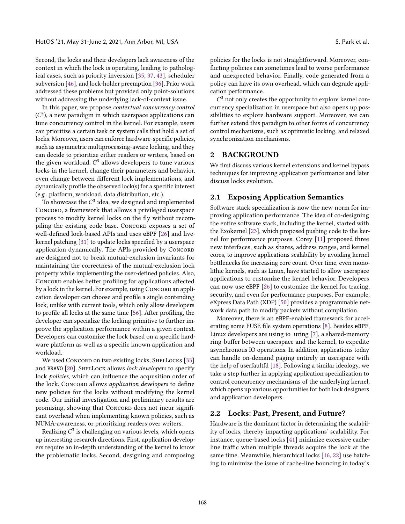Second, the locks and their developers lack awareness of the context in which the lock is operating, leading to pathological cases, such as priority inversion [\[35,](#page-7-6) [37,](#page-7-5) [43\]](#page-7-7), scheduler subversion [\[46\]](#page-7-11), and lock-holder preemption [\[36\]](#page-7-12). Prior work addressed these problems but provided only point-solutions without addressing the underlying lack-of-context issue.

In this paper, we propose contextual concurrency control  $(C<sup>3</sup>)$ , a new paradigm in which userspace applications can tune concurrency control in the kernel. For example, users can prioritize a certain task or system calls that hold a set of locks. Moreover, users can enforce hardware-specific policies, such as asymmetric multiprocessing-aware locking, and they can decide to prioritize either readers or writers, based on the given workload.  $C^3$  allows developers to tune various locks in the kernel, change their parameters and behavior, even change between different lock implementations, and dynamically profile the observed lock(s) for a specific interest (e.g., platform, workload, data distribution, etc.).

To showcase the  $C^3$  idea, we designed and implemented CONCORD, a framework that allows a privileged userspace process to modify kernel locks on the fly without recompiling the existing code base. CONCORD exposes a set of well-defined lock-based APIs and uses eBPF [\[26\]](#page-6-2) and livekernel patching [\[31\]](#page-6-12) to update locks specified by a userspace application dynamically. The APIs provided by CONCORD are designed not to break mutual-exclusion invariants for maintaining the correctness of the mutual-exclusion lock property while implementing the user-defined policies. Also, Concord enables better profiling for applications affected by a lock in the kernel. For example, using Concord an application developer can choose and profile a single contending lock, unlike with current tools, which only allow developers to profile all locks at the same time [\[56\]](#page-7-13). After profiling, the developer can specialize the locking primitive to further improve the application performance within a given context. Developers can customize the lock based on a specific hardware platform as well as a specific known application and workload.

We used CONCORD on two existing locks, SHFLLOCKS [\[33\]](#page-6-7) and BRAVO  $[20]$ . SHFLLOCK allows *lock developers* to specify lock policies, which can influence the acquisition order of the lock. CONCORD allows *application developers* to define new policies for the locks without modifying the kernel code. Our initial investigation and preliminary results are promising, showing that Concorp does not incur significant overhead when implementing known policies, such as NUMA-awareness, or prioritizing readers over writers.

Realizing  $C^3$  is challenging on various levels, which opens up interesting research directions. First, application developers require an in-depth understanding of the kernel to know the problematic locks. Second, designing and composing

policies for the locks is not straightforward. Moreover, conflicting policies can sometimes lead to worse performance and unexpected behavior. Finally, code generated from a policy can have its own overhead, which can degrade application performance.

 $C<sup>3</sup>$  not only creates the opportunity to explore kernel concurrency specialization in userspace but also opens up possibilities to explore hardware support. Moreover, we can further extend this paradigm to other forms of concurrency control mechanisms, such as optimistic locking, and relaxed synchronization mechanisms.

## 2 BACKGROUND

We first discuss various kernel extensions and kernel bypass techniques for improving application performance and later discuss locks evolution.

## 2.1 Exposing Application Semantics

Software stack specialization is now the new norm for improving application performance. The idea of co-designing the entire software stack, including the kernel, started with the Exokernel [\[23\]](#page-6-14), which proposed pushing code to the kernel for performance purposes. Corey [\[11\]](#page-6-15) proposed three new interfaces, such as shares, address ranges, and kernel cores, to improve applications scalability by avoiding kernel bottlenecks for increasing core count. Over time, even monolithic kernels, such as Linux, have started to allow userspace applications to customize the kernel behavior. Developers can now use eBPF [\[26\]](#page-6-2) to customize the kernel for tracing, security, and even for performance purposes. For example, eXpress Data Path (XDP) [\[50\]](#page-7-4) provides a programmable network data path to modify packets without compilation.

Moreover, there is an eBPF-enabled framework for accelerating some FUSE file system operations [\[8\]](#page-6-16). Besides eBPF, Linux developers are using io\_uring [\[7\]](#page-6-17), a shared-memory ring-buffer between userspace and the kernel, to expedite asynchronous IO operations. In addition, applications today can handle on-demand paging entirely in userspace with the help of userfaultfd [\[18\]](#page-6-18). Following a similar ideology, we take a step further in applying application specialization to control concurrency mechanisms of the underlying kernel, which opens up various opportunities for both lock designers and application developers.

#### 2.2 Locks: Past, Present, and Future?

Hardware is the dominant factor in determining the scalability of locks, thereby impacting applications' scalability. For instance, queue-based locks [\[41\]](#page-7-8) minimize excessive cacheline traffic when multiple threads acquire the lock at the same time. Meanwhile, hierarchical locks [\[16,](#page-6-8) [22\]](#page-6-9) use batching to minimize the issue of cache-line bouncing in today's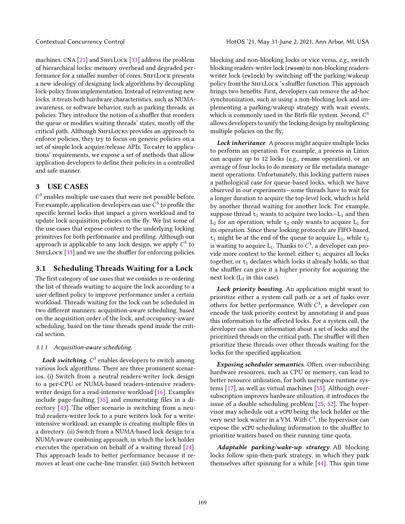machines. CNA [\[21\]](#page-6-19) and SHFLLOCK [\[33\]](#page-6-7) address the problem of hierarchical locks: memory overhead and degraded performance for a smaller number of cores. SHFLLOCK presents a new ideology of designing lock algorithms by decoupling lock-policy from implementation. Instead of reinventing new locks, it treats both hardware characteristics, such as NUMAawareness, or software behavior, such as parking threads, as policies. They introduce the notion of a shuffler that reorders the queue or modifies waiting threads' states, mostly off the critical path. Although SHFLLOCKS provides an approach to enforce policies, they try to focus on generic policies on a set of simple lock acquire/release APIs. To cater to applications' requirements, we expose a set of methods that allow application developers to define their policies in a controlled and safe manner.

## <span id="page-2-0"></span>3 USE CASES

 $C<sup>3</sup>$  enables multiple use cases that were not possible before. For example, application developers can use  $C^3$  to profile the specific kernel locks that impact a given workload and to update lock acquisition policies on the fly. We list some of the use cases that expose context to the underlying locking primitives for both performance and profiling. Although our approach is applicable to any lock design, we apply  $C^3$  to SHFLLOCK [\[33\]](#page-6-7) and we use the shuffler for enforcing policies.

## 3.1 Scheduling Threads Waiting for a Lock

The first category of use cases that we consider is re-ordering the list of threads waiting to acquire the lock according to a user-defined policy to improve performance under a certain workload. Threads waiting for the lock can be scheduled in two different manners: acquisition-aware scheduling, based on the acquisition order of the lock, and occupancy-aware scheduling, based on the time threads spend inside the critical section.

#### 3.1.1 Acquisition-aware scheduling.

Lock switching.  $C^3$  enables developers to switch among various lock algorithms. There are three prominent scenarios. (i) Switch from a neutral readers-writer lock design to a per-CPU or NUMA-based readers-intensive readerswriter design for a read-intensive workload [\[16\]](#page-6-8). Examples include page-faulting [\[35\]](#page-7-6) and enumerating files in a directory [\[43\]](#page-7-7). The other scenario is switching from a neutral readers-writer lock to a pure writers lock for a writeintensive workload; an example is creating multiple files in a directory. (ii) Switch from a NUMA-based lock design to a NUMA-aware combining approach, in which the lock holder executes the operation on behalf of a waiting thread [\[24\]](#page-6-20). This approach leads to better performance because it removes at least one cache-line transfer. (iii) Switch between

blocking and non-blocking locks or vice versa, e.g., switch blocking readers-writer lock (rwsem) to non-blocking readerswriter lock (rwlock) by switching off the parking/wakeup policy from the SHFLLOCK 's shuffler function. This approach brings two benefits: First, developers can remove the ad-hoc synchronization, such as using a non-blocking lock and implementing a parking/wakeup strategy with wait events, which is commonly used in the Btrfs file system. Second,  $C^3$ allows developers to unify the locking design by multiplexing multiple policies on the fly.

Lock inheritance. A process might acquire multiple locks to perform an operation. For example, a process in Linux can acquire up to 12 locks (e.g., rename operation), or an average of four locks to do memory or file metadata management operations. Unfortunately, this locking pattern raises a pathological case for queue-based locks, which we have observed in our experiments—some threads have to wait for a longer duration to acquire the top-level lock, which is held by another thread waiting for another lock. For example, suppose thread  $t_1$  wants to acquire two locks- $L_1$  and then  $L_2$  for an operation, while  $t_2$  only wants to acquire  $L_1$  for its operation. Since these locking protocols are FIFO-based,  $t_1$  might be at the end of the queue to acquire  $L_2$ , while  $t_2$ is waiting to acquire  $L_1$ . Thanks to  $C^3$ , a developer can provide more context to the kernel: either  $t_1$  acquires all locks together, or  $t_1$  declares which locks it already holds, so that the shuffler can give it a higher priority for acquiring the next lock  $(L_2$  in this case).

Lock priority boosting. An application might want to prioritize either a system call path or a set of tasks over others for better performance. With  $C^3$ , a developer can encode the task priority context by annotating it and pass this information to the affected locks. For a system call, the developer can share information about a set of locks and the prioritized threads on the critical path. The shuffler will then prioritize these threads over other threads waiting for the locks for the specified application.

Exposing scheduler semantics. Often, over-subscribing hardware resources, such as CPU or memory, can lead to better resource utilization, for both userspace runtime systems [\[17\]](#page-6-21), as well as virtual machines [\[55\]](#page-7-14). Although oversubscription improves hardware utilization, it introduces the issue of a double scheduling problem [\[25,](#page-6-22) [52\]](#page-7-15). The hypervisor may schedule out a vCPU being the lock holder or the very next lock waiter in a VM. With  $C^3$ , the hypervisor can expose the vCPU scheduling information to the shuffler to prioritize waiters based on their running time quota.

Adaptable parking/wake-up strategy. All blocking locks follow spin-then-park strategy, in which they park themselves after spinning for a while [\[44\]](#page-7-16). This spin time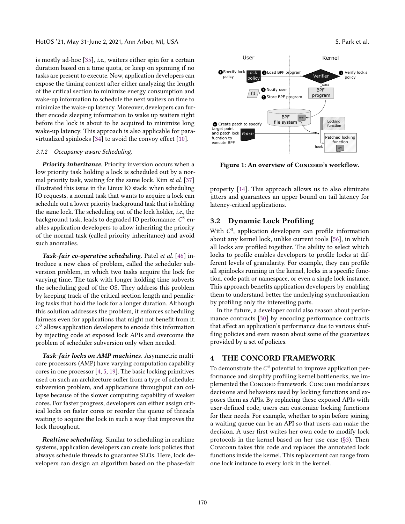is mostly ad-hoc [\[35\]](#page-7-6), i.e., waiters either spin for a certain duration based on a time quota, or keep on spinning if no tasks are present to execute. Now, application developers can expose the timing context after either analyzing the length of the critical section to minimize energy consumption and wake-up information to schedule the next waiters on time to minimize the wake-up latency. Moreover, developers can further encode sleeping information to wake up waiters right before the lock is about to be acquired to minimize long wake-up latency. This approach is also applicable for paravirtualized spinlocks [\[34\]](#page-7-17) to avoid the convoy effect [\[10\]](#page-6-23).

#### 3.1.2 Occupancy-aware Scheduling.

Priority inheritance. Priority inversion occurs when a low priority task holding a lock is scheduled out by a normal priority task, waiting for the same lock. Kim *et al.* [\[37\]](#page-7-5) illustrated this issue in the Linux IO stack: when scheduling IO requests, a normal task that wants to acquire a lock can schedule out a lower priority background task that is holding the same lock. The scheduling out of the lock holder, i.e., the background task, leads to degraded IO performance.  $C^3$  enables application developers to allow inheriting the priority of the normal task (called priority inheritance) and avoid such anomalies.

Task-fair co-operative scheduling. Patel et al. [\[46\]](#page-7-11) introduce a new class of problem, called the scheduler subversion problem, in which two tasks acquire the lock for varying time. The task with longer holding time subverts the scheduling goal of the OS. They address this problem by keeping track of the critical section length and penalizing tasks that hold the lock for a longer duration. Although this solution addresses the problem, it enforces scheduling fairness even for applications that might not benefit from it.  $C<sup>3</sup>$  allows application developers to encode this information by injecting code at exposed lock APIs and overcome the problem of scheduler subversion only when needed.

Task-fair locks on AMP machines. Asymmetric multicore processors (AMP) have varying computation capability cores in one processor [\[4,](#page-6-10) [5,](#page-6-24) [19\]](#page-6-25). The basic locking primitives used on such an architecture suffer from a type of scheduler subversion problem, and applications throughput can collapse because of the slower computing capability of weaker cores. For faster progress, developers can either assign critical locks on faster cores or reorder the queue of threads waiting to acquire the lock in such a way that improves the lock throughout.

Realtime scheduling. Similar to scheduling in realtime systems, application developers can create lock policies that always schedule threads to guarantee SLOs. Here, lock developers can design an algorithm based on the phase-fair

<span id="page-3-0"></span>

Figure 1: An overview of Concord's workflow.

property [\[14\]](#page-6-26). This approach allows us to also eliminate jitters and guarantees an upper bound on tail latency for latency-critical applications.

## 3.2 Dynamic Lock Profiling

With  $C<sup>3</sup>$ , application developers can profile information about any kernel lock, unlike current tools [\[56\]](#page-7-13), in which all locks are profiled together. The ability to select which locks to profile enables developers to profile locks at different levels of granularity. For example, they can profile all spinlocks running in the kernel, locks in a specific function, code path or namespace, or even a single lock instance. This approach benefits application developers by enabling them to understand better the underlying synchronization by profiling only the interesting parts.

In the future, a developer could also reason about performance contracts [\[30\]](#page-6-27) by encoding performance contracts that affect an application's performance due to various shuffling policies and even reason about some of the guarantees provided by a set of policies.

## 4 THE CONCORD FRAMEWORK

To demonstrate the  $C^3$  potential to improve application performance and simplify profiling kernel bottlenecks, we implemented the CONCORD framework. CONCORD modularizes decisions and behaviors used by locking functions and exposes them as APIs. By replacing these exposed APIs with user-defined code, users can customize locking functions for their needs. For example, whether to spin before joining a waiting queue can be an API so that users can make the decision. A user first writes her own code to modify lock protocols in the kernel based on her use case [\(§3\)](#page-2-0). Then CONCORD takes this code and replaces the annotated lock functions inside the kernel. This replacement can range from one lock instance to every lock in the kernel.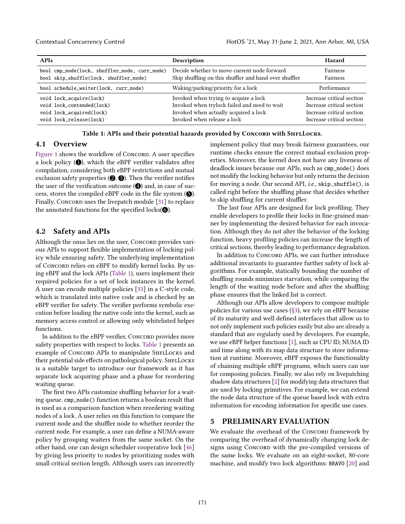<span id="page-4-0"></span>

| <b>APIs</b>                                   | Description                                            | Hazard                    |
|-----------------------------------------------|--------------------------------------------------------|---------------------------|
| bool cmp_node(lock, shuffler_node, curr_node) | Decide whether to move current node forward            | <b>Fairness</b>           |
| bool skip_shuffle(lock, shuffler_node)        | Skip shuffling on this shuffler and hand over shuffler | Fairness                  |
| bool schedule_waiter(lock, curr_node)         | Waking/parking/priority for a lock                     | Performance               |
| void lock_acquire(lock)                       | Invoked when trying to acquire a lock                  | Increase critical section |
| void lock_contended(lock)                     | Invoked when trylock failed and need to wait           | Increase critical section |
| void lock_acquired(lock)                      | Invoked when actually acquired a lock                  | Increase critical section |
| void lock_release(lock)                       | Invoked when release a lock                            | Increase critical section |

Table 1: APIs and their potential hazards provided by Concord with SHFLLocks.

## 4.1 Overview

[Figure 1](#page-3-0) shows the workflow of Concord. A user specifies a lock policy  $(①)$ , which the eBPF verifier validates after compilation, considering both eBPF restrictions and mutual exclusion safety properties  $(②, ③)$ . Then the verifier notifies the user of the verification outcome  $(①)$  and, in case of success, stores the compiled eBPF code in the file system  $\left( \bigcirc \right)$ . Finally, CONCORD uses the livepatch module [\[31\]](#page-6-12) to replace the annotated functions for the specified locks $(③)$ .

### 4.2 Safety and APIs

Although the onus lies on the user, CONCORD provides various APIs to support flexible implementation of locking policy while ensuring safety. The underlying implementation of Concord relies on eBPF to modify kernel locks. By using eBPF and the lock APIs [\(Table 1\)](#page-4-0), users implement their required policies for a set of lock instances in the kernel. A user can encode multiple policies [\[33\]](#page-6-7) in a C-style code, which is translated into native code and is checked by an eBPF verifier for safety. The verifier performs symbolic execution before loading the native code into the kernel, such as memory access control or allowing only whitelisted helper functions.

In addition to the eBPF verifier, Concord provides more safety properties with respect to locks. [Table 1](#page-4-0) presents an example of CONCORD APIs to manipulate SHFLLOCKS and their potential side effects on pathological policy. SHFLLOCKS is a suitable target to introduce our framework as it has separate lock acquiring phase and a phase for reordering waiting queue.

The first two APIs customize shuffling behavior for a waiting queue. cmp\_node() function returns a boolean result that is used as a comparison function when reordering waiting nodes of a lock. A user relies on this function to compare the current node and the shuffler node to whether reorder the current node. For example, a user can define a NUMA-aware policy by grouping waiters from the same socket. On the other hand, one can design scheduler cooperative lock [\[46\]](#page-7-11) by giving less priority to nodes by prioritizing nodes with small critical section length. Although users can incorrectly

implement policy that may break fairness guarantees, our runtime checks ensure the correct mutual exclusion properties. Moreover, the kernel does not have any liveness of deadlock issues because our APIs, such as cmp\_node() does not modify the locking behavior but only returns the decision for moving a node. Our second API, i.e., skip\_shuffle(), is called right before the shuffling phase that decides whether to skip shuffling for current shuffler.

The last four APIs are designed for lock profiling. They enable developers to profile their locks in fine-grained manner by implementing the desired behavior for each invocation. Although they do not alter the behavior of the locking function, heavy profiling policies can increase the length of critical sections, thereby leading to performance degradation.

In addition to CONCORD APIs, we can further introduce additional invariants to guarantee further safety of lock algorithms. For example, statically bounding the number of shuffling rounds minimizes starvation, while comparing the length of the waiting node before and after the shuffling phase ensures that the linked list is correct.

Although our APIs allow developers to compose multiple policies for various use cases [\(§3\)](#page-2-0), we rely on eBPF because of its maturity and well defined interfaces that allow us to not only implement such policies easily but also are already a standard that are regularly used by developers. For example, we use eBPF helper functions [\[1\]](#page-6-28), such as CPU ID, NUMA ID and time along with its map data structure to store information at runtime. Moreover, eBPF exposes the functionality of chaining multiple eBPF programs, which users can use for composing policies. Finally, we also rely on livepatching shadow data structures [\[2\]](#page-6-29) for modifying data structures that are used by locking primitives. For example, we can extend the node data structure of the queue based lock with extra information for encoding information for specific use cases.

## 5 PRELIMINARY EVALUATION

We evaluate the overhead of the CONCORD framework by comparing the overhead of dynamically changing lock designs using CONCORD with the pre-compiled versions of the same locks. We evaluate on an eight-socket, 80-core machine, and modify two lock algorithms: BRAVO [\[20\]](#page-6-13) and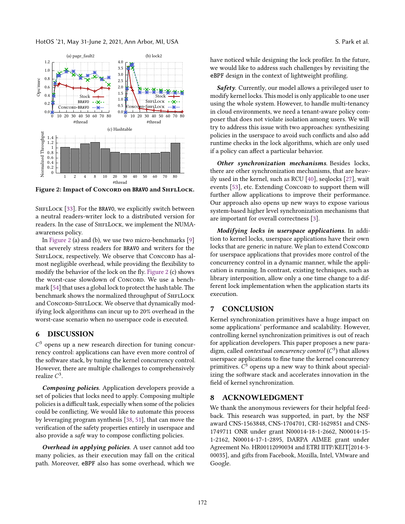<span id="page-5-0"></span>

Figure 2: Impact of CONCORD on BRAVO and SHFLLOCK.

SHFLLOCK [\[33\]](#page-6-7). For the BRAVO, we explicitly switch between a neutral readers-writer lock to a distributed version for readers. In the case of SHFLLOCK, we implement the NUMAawareness policy.

In [Figure 2](#page-5-0) (a) and (b), we use two micro-benchmarks [\[9\]](#page-6-30) that severely stress readers for BRAVO and writers for the SHFLLOCK, respectively. We observe that CONCORD has almost negligible overhead, while providing the flexibility to modify the behavior of the lock on the fly. [Figure 2](#page-5-0) (c) shows the worst-case slowdown of Concord. We use a benchmark [\[54\]](#page-7-18) that uses a global lock to protect the hash table. The benchmark shows the normalized throughput of SHFLLOCK and CONCORD-SHFLLOCK. We observe that dynamically modifying lock algorithms can incur up to 20% overhead in the worst-case scenario when no userspace code is executed.

## 6 DISCUSSION

 $C<sup>3</sup>$  opens up a new research direction for tuning concurrency control: applications can have even more control of the software stack, by tuning the kernel concurrency control. However, there are multiple challenges to comprehensively realize  $C^3$ .

Composing policies. Application developers provide a set of policies that locks need to apply. Composing multiple policies is a difficult task, especially when some of the policies could be conflicting. We would like to automate this process by leveraging program synthesis [\[38,](#page-7-19) [51\]](#page-7-20), that can move the verification of the safety properties entirely in userspace and also provide a safe way to compose conflicting policies.

Overhead in applying policies. A user cannot add too many policies, as their execution may fall on the critical path. Moreover, eBPF also has some overhead, which we have noticed while designing the lock profiler. In the future, we would like to address such challenges by revisiting the eBPF design in the context of lightweight profiling.

Safety. Currently, our model allows a privileged user to modify kernel locks. This model is only applicable to one user using the whole system. However, to handle multi-tenancy in cloud environments, we need a tenant-aware policy composer that does not violate isolation among users. We will try to address this issue with two approaches: synthesizing policies in the userspace to avoid such conflicts and also add runtime checks in the lock algorithms, which are only used if a policy can affect a particular behavior.

Other synchronization mechanisms. Besides locks, there are other synchronization mechanisms, that are heavily used in the kernel, such as RCU [\[40\]](#page-7-21), seqlocks [\[27\]](#page-6-31), wait events [\[53\]](#page-7-22), etc. Extending Concord to support them will further allow applications to improve their performance. Our approach also opens up new ways to expose various system-based higher level synchronization mechanisms that are important for overall correctness [\[3\]](#page-6-32).

Modifying locks in userspace applications. In addition to kernel locks, userspace applications have their own locks that are generic in nature. We plan to extend CONCORD for userspace applications that provides more control of the concurrency control in a dynamic manner, while the application is running. In contrast, existing techniques, such as library interposition, allow only a one time change to a different lock implementation when the application starts its execution.

## 7 CONCLUSION

Kernel synchronization primitives have a huge impact on some applications' performance and scalability. However, controlling kernel synchronization primitives is out of reach for application developers. This paper proposes a new paradigm, called *contextual concurrency control* ( $C^3$ ) that allows userspace applications to fine tune the kernel concurrency primitives.  $C^3$  opens up a new way to think about specializing the software stack and accelerates innovation in the field of kernel synchronization.

## 8 ACKNOWLEDGMENT

We thank the anonymous reviewers for their helpful feedback. This research was supported, in part, by the NSF award CNS-1563848, CNS-1704701, CRI-1629851 and CNS-1749711 ONR under grant N00014-18-1-2662, N00014-15- 1-2162, N00014-17-1-2895, DARPA AIMEE grant under Agreement No. HR00112090034 and ETRI IITP/KEIT[2014-3- 00035], and gifts from Facebook, Mozilla, Intel, VMware and Google.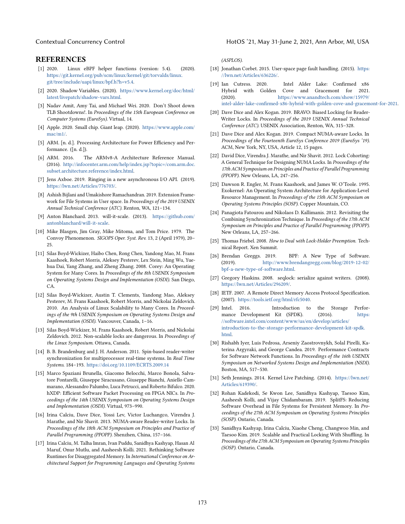#### **REFERENCES**

- <span id="page-6-28"></span>[1] 2020. Linux eBPF helper functions (version: 5.4). (2020). [https://git.kernel.org/pub/scm/linux/kernel/git/torvalds/linux.](https://git.kernel.org/pub/scm/linux/kernel/git/torvalds/linux.git/tree/include/uapi/linux/bpf.h?h=v5.4) [git/tree/include/uapi/linux/bpf.h?h=v5.4.](https://git.kernel.org/pub/scm/linux/kernel/git/torvalds/linux.git/tree/include/uapi/linux/bpf.h?h=v5.4)
- <span id="page-6-29"></span>[2] 2020. Shadow Variables. (2020). [https://www.kernel.org/doc/html/](https://www.kernel.org/doc/html/latest/livepatch/shadow-vars.html) [latest/livepatch/shadow-vars.html.](https://www.kernel.org/doc/html/latest/livepatch/shadow-vars.html)
- <span id="page-6-32"></span>[3] Nadav Amit, Amy Tai, and Michael Wei. 2020. Don't Shoot down TLB Shootdowns!. In Proceedings of the 15th European Conference on Computer Systems (EuroSys). Virtual, 14.
- <span id="page-6-10"></span>[4] Apple. 2020. Small chip. Giant leap. (2020). [https://www.apple.com/](https://www.apple.com/mac/m1/) [mac/m1/.](https://www.apple.com/mac/m1/)
- <span id="page-6-24"></span>[5] ARM. [n. d.]. Processing Architecture for Power Efficiency and Performance. ([n. d.]).
- <span id="page-6-11"></span>[6] ARM. 2016. The ARMv8-A Architecture Reference Manual. (2016). [http://infocenter.arm.com/help/index.jsp?topic=/com.arm.doc.](http://infocenter.arm.com/help/index.jsp?topic=/com.arm.doc.subset.architecture.reference/index.html) [subset.architecture.reference/index.html.](http://infocenter.arm.com/help/index.jsp?topic=/com.arm.doc.subset.architecture.reference/index.html)
- <span id="page-6-17"></span>[7] Jens Axboe. 2019. Ringing in a new asynchronous I/O API. (2019). [https://lwn.net/Articles/776703/.](https://lwn.net/Articles/776703/)
- <span id="page-6-16"></span>[8] Ashish Bijlani and Umakishore Ramachandran. 2019. Extension Framework for File Systems in User space. In Proceedings of the 2019 USENIX Annual Technical Conference (ATC). Renton, WA, 121–134.
- <span id="page-6-30"></span>[9] Anton Blanchard. 2013. will-it-scale. (2013). [https://github.com/](https://github.com/antonblanchard/will-it-scale) [antonblanchard/will-it-scale.](https://github.com/antonblanchard/will-it-scale)
- <span id="page-6-23"></span>[10] Mike Blasgen, Jim Gray, Mike Mitoma, and Tom Price. 1979. The Convoy Phenomenon. SIGOPS Oper. Syst. Rev. 13, 2 (April 1979), 20– 25.
- <span id="page-6-15"></span>[11] Silas Boyd-Wickizer, Haibo Chen, Rong Chen, Yandong Mao, M. Frans Kaashoek, Robert Morris, Aleksey Pesterev, Lex Stein, Ming Wu, Yuehua Dai, Yang Zhang, and Zheng Zhang. 2008. Corey: An Operating System for Many Cores. In Proceedings of the 8th USENIX Symposium on Operating Systems Design and Implementation (OSDI). San Diego,  $CA$
- <span id="page-6-5"></span>[12] Silas Boyd-Wickizer, Austin T. Clements, Yandong Mao, Aleksey Pesterev, M. Frans Kaashoek, Robert Morris, and Nickolai Zeldovich. 2010. An Analysis of Linux Scalability to Many Cores. In Proceedings of the 9th USENIX Symposium on Operating Systems Design and Implementation (OSDI). Vancouver, Canada, 1–16.
- <span id="page-6-6"></span>[13] Silas Boyd-Wickizer, M. Frans Kaashoek, Robert Morris, and Nickolai Zeldovich. 2012. Non-scalable locks are dangerous. In Proceedings of the Linux Symposium. Ottawa, Canada.
- <span id="page-6-26"></span>[14] B. B. Brandenburg and J. H. Anderson. 2011. Spin-based reader-writer synchronization for multiprocessor real-time systems. In Real Time Systems. 184–193. <https://doi.org/10.1109/ECRTS.2009.14>
- <span id="page-6-4"></span>[15] Marco Spaziani Brunella, Giacomo Belocchi, Marco Bonola, Salvatore Pontarelli, Giuseppe Siracusano, Giuseppe Bianchi, Aniello Cammarano, Alessandro Palumbo, Luca Petrucci, and Roberto Bifulco. 2020. hXDP: Efficient Software Packet Processing on FPGA NICs. In Proceedings of the 14th USENIX Symposium on Operating Systems Design and Implementation (OSDI). Virtual, 973–990.
- <span id="page-6-8"></span>[16] Irina Calciu, Dave Dice, Yossi Lev, Victor Luchangco, Virendra J. Marathe, and Nir Shavit. 2013. NUMA-aware Reader-writer Locks. In Proceedings of the 18th ACM Symposium on Principles and Practice of Parallel Programming (PPOPP). Shenzhen, China, 157–166.
- <span id="page-6-21"></span>[17] Irina Calciu, M. Talha Imran, Ivan Puddu, Sanidhya Kashyap, Hasan Al Maruf, Onur Mutlu, and Aasheesh Kolli. 2021. Rethinking Software Runtimes for Disaggregated Memory. In International Conference on Architectural Support for Programming Languages and Operating Systems

#### Contextual Concurrency Control HotOS '21, May 31-June 2, 2021, Ann Arbor, MI, USA

(ASPLOS).

- <span id="page-6-18"></span>[18] Jonathan Corbet. 2015. User-space page fault handling. (2015). [https:](https://lwn.net/Articles/636226/) [//lwn.net/Articles/636226/.](https://lwn.net/Articles/636226/)
- <span id="page-6-25"></span>[19] Ian Cutress. 2020. Intel Alder Lake: Confirmed x86 Hybrid with Golden Cove and Gracemont for 2021. (2020). [https://www.anandtech.com/show/15979/](https://www.anandtech.com/show/15979/intel-alder-lake-confirmed-x86-hybrid-with-golden-cove-and-gracemont-for-2021) [intel-alder-lake-confirmed-x86-hybrid-with-golden-cove-and-gracemont-for-2021.](https://www.anandtech.com/show/15979/intel-alder-lake-confirmed-x86-hybrid-with-golden-cove-and-gracemont-for-2021)
- <span id="page-6-13"></span>[20] Dave Dice and Alex Kogan. 2019. BRAVO: Biased Locking for Reader-Writer Locks. In Proceedings of the 2019 USENIX Annual Technical Conference (ATC). USENIX Association, Renton, WA, 315–328.
- <span id="page-6-19"></span>[21] Dave Dice and Alex Kogan. 2019. Compact NUMA-aware Locks. In Proceedings of the Fourteenth EuroSys Conference 2019 (EuroSys '19). ACM, New York, NY, USA, Article 12, 15 pages.
- <span id="page-6-9"></span>[22] David Dice, Virendra J. Marathe, and Nir Shavit. 2012. Lock Cohorting: A General Technique for Designing NUMA Locks. In Proceedings of the 17th ACM Symposium on Principles and Practice of Parallel Programming (PPOPP). New Orleans, LA, 247–256.
- <span id="page-6-14"></span>[23] Dawson R. Engler, M. Frans Kaashoek, and James W. O'Toole. 1995. Exokernel: An Operating System Architecture for Application-Level Resource Management. In Proceedings of the 15th ACM Symposium on Operating Systems Principles (SOSP). Copper Mountain, CO.
- <span id="page-6-20"></span>[24] Panagiota Fatourou and Nikolaos D. Kallimanis. 2012. Revisiting the Combining Synchronization Technique. In Proceedings of the 17th ACM Symposium on Principles and Practice of Parallel Programming (PPOPP). New Orleans, LA, 257–266.
- <span id="page-6-22"></span>[25] Thomas Friebel. 2008. How to Deal with Lock-Holder Preemption. Technical Report. Xen Summit.
- <span id="page-6-2"></span>[26] Brendan Greggs. 2019. BPF: A New Type of Software. (2019). [http://www.brendangregg.com/blog/2019-12-02/](http://www.brendangregg.com/blog/2019-12-02/bpf-a-new-type-of-software.html) [bpf-a-new-type-of-software.html.](http://www.brendangregg.com/blog/2019-12-02/bpf-a-new-type-of-software.html)
- <span id="page-6-31"></span>[27] Gregory Haskins. 2008. seqlock: serialize against writers. (2008). [https://lwn.net/Articles/296209/.](https://lwn.net/Articles/296209/)
- <span id="page-6-3"></span>[28] IETF. 2007. A Remote Direct Memory Access Protocol Specification. (2007). [https://tools.ietf.org/html/rfc5040.](https://tools.ietf.org/html/rfc5040)
- <span id="page-6-0"></span>[29] Intel. 2016. Introduction to the Storage Performance Development Kit (SPDK). (2016). [https:](https://software.intel.com/content/www/us/en/develop/articles/introduction-to-the-storage-performance-development-kit-spdk.html) [//software.intel.com/content/www/us/en/develop/articles/](https://software.intel.com/content/www/us/en/develop/articles/introduction-to-the-storage-performance-development-kit-spdk.html) [introduction-to-the-storage-performance-development-kit-spdk.](https://software.intel.com/content/www/us/en/develop/articles/introduction-to-the-storage-performance-development-kit-spdk.html) [html.](https://software.intel.com/content/www/us/en/develop/articles/introduction-to-the-storage-performance-development-kit-spdk.html)
- <span id="page-6-27"></span>[30] Rishabh Iyer, Luis Pedrosa, Arseniy Zaostrovnykh, Solal Pirelli, Katerina Argyraki, and George Candea. 2019. Performance Contracts for Software Network Functions. In Proceedings of the 16th USENIX Symposium on Networked Systems Design and Implementation (NSDI). Boston, MA, 517–530.
- <span id="page-6-12"></span>[31] Seth Jennings. 2014. Kernel Live Patching. (2014). [https://lwn.net/](https://lwn.net/Articles/619390/) [Articles/619390/.](https://lwn.net/Articles/619390/)
- <span id="page-6-1"></span>[32] Rohan Kadekodi, Se Kwon Lee, Sanidhya Kashyap, Taesoo Kim, Aasheesh Kolli, and Vijay Chidambaram. 2019. SplitFS: Reducing Software Overhead in File Systems for Persistent Memory. In Proceedings of the 27th ACM Symposium on Operating Systems Principles (SOSP). Ontario, Canada.
- <span id="page-6-7"></span>[33] Sanidhya Kashyap, Irina Calciu, Xiaohe Cheng, Changwoo Min, and Taesoo Kim. 2019. Scalable and Practical Locking With Shuffling. In Proceedings of the 27th ACM Symposium on Operating Systems Principles (SOSP). Ontario, Canada.